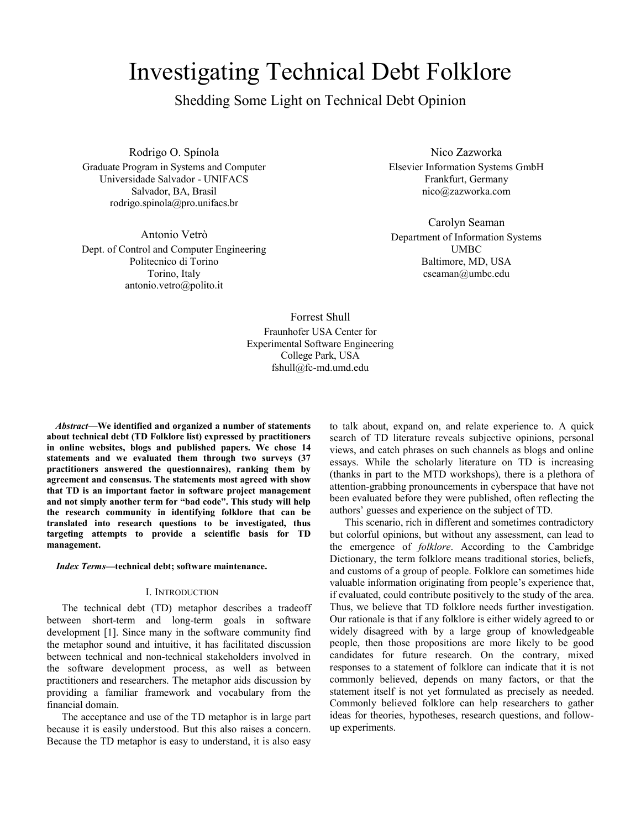# Investigating Technical Debt Folklore

Shedding Some Light on Technical Debt Opinion

Rodrigo O. Spínola Graduate Program in Systems and Computer Universidade Salvador - UNIFACS Salvador, BA, Brasil rodrigo.spinola@pro.unifacs.br

Antonio Vetrò Dept. of Control and Computer Engineering Politecnico di Torino Torino, Italy antonio.vetro@polito.it

Nico Zazworka Elsevier Information Systems GmbH Frankfurt, Germany nico@zazworka.com

Carolyn Seaman Department of Information Systems UMBC Baltimore, MD, USA cseaman@umbc.edu

Forrest Shull Fraunhofer USA Center for Experimental Software Engineering College Park, USA fshull@fc-md.umd.edu

*Abstract***—We identified and organized a number of statements about technical debt (TD Folklore list) expressed by practitioners in online websites, blogs and published papers. We chose 14 statements and we evaluated them through two surveys (37 practitioners answered the questionnaires), ranking them by agreement and consensus. The statements most agreed with show that TD is an important factor in software project management and not simply another term for "bad code". This study will help the research community in identifying folklore that can be translated into research questions to be investigated, thus targeting attempts to provide a scientific basis for TD management.** 

#### *Index Terms***—technical debt; software maintenance.**

# I. INTRODUCTION

The technical debt (TD) metaphor describes a tradeoff between short-term and long-term goals in software development [1]. Since many in the software community find the metaphor sound and intuitive, it has facilitated discussion between technical and non-technical stakeholders involved in the software development process, as well as between practitioners and researchers. The metaphor aids discussion by providing a familiar framework and vocabulary from the financial domain.

The acceptance and use of the TD metaphor is in large part because it is easily understood. But this also raises a concern. Because the TD metaphor is easy to understand, it is also easy

to talk about, expand on, and relate experience to. A quick search of TD literature reveals subjective opinions, personal views, and catch phrases on such channels as blogs and online essays. While the scholarly literature on TD is increasing (thanks in part to the MTD workshops), there is a plethora of attention-grabbing pronouncements in cyberspace that have not been evaluated before they were published, often reflecting the authors' guesses and experience on the subject of TD.

This scenario, rich in different and sometimes contradictory but colorful opinions, but without any assessment, can lead to the emergence of *folklore*. According to the Cambridge Dictionary, the term folklore means traditional stories, beliefs, and customs of a group of people. Folklore can sometimes hide valuable information originating from people's experience that, if evaluated, could contribute positively to the study of the area. Thus, we believe that TD folklore needs further investigation. Our rationale is that if any folklore is either widely agreed to or widely disagreed with by a large group of knowledgeable people, then those propositions are more likely to be good candidates for future research. On the contrary, mixed responses to a statement of folklore can indicate that it is not commonly believed, depends on many factors, or that the statement itself is not yet formulated as precisely as needed. Commonly believed folklore can help researchers to gather ideas for theories, hypotheses, research questions, and followup experiments.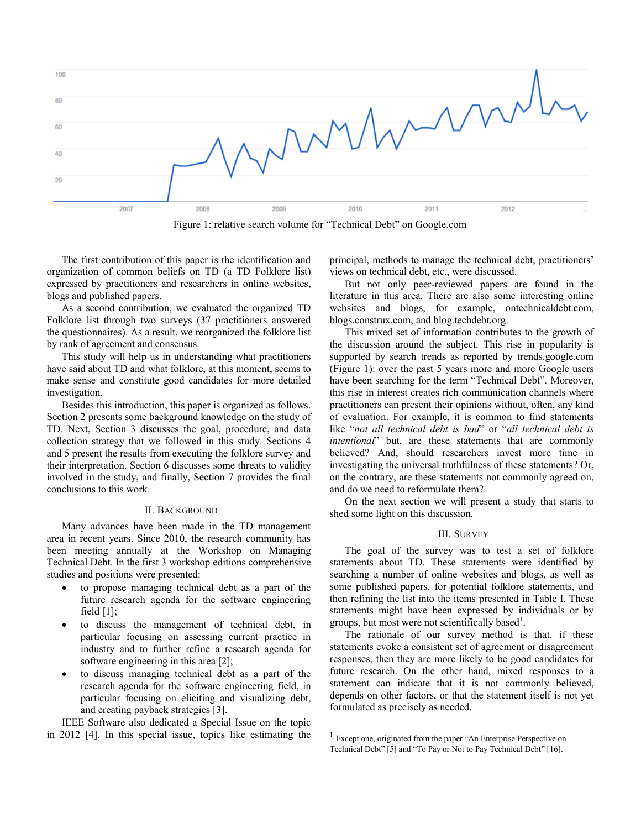

Figure 1: relative search volume for "Technical Debt" on Google.com

The first contribution of this paper is the identification and organization of common beliefs on TD (a TD Folklore list) expressed by practitioners and researchers in online websites, blogs and published papers.

As a second contribution, we evaluated the organized TD Folklore list through two surveys (37 practitioners answered the questionnaires). As a result, we reorganized the folklore list by rank of agreement and consensus.

This study will help us in understanding what practitioners have said about TD and what folklore, at this moment, seems to make sense and constitute good candidates for more detailed investigation.

Besides this introduction, this paper is organized as follows. Section 2 presents some background knowledge on the study of TD. Next, Section 3 discusses the goal, procedure, and data collection strategy that we followed in this study. Sections 4 and 5 present the results from executing the folklore survey and their interpretation. Section 6 discusses some threats to validity involved in the study, and finally, Section 7 provides the final conclusions to this work.

#### II. BACKGROUND

Many advances have been made in the TD management area in recent years. Since 2010, the research community has been meeting annually at the Workshop on Managing Technical Debt. In the first 3 workshop editions comprehensive studies and positions were presented:

- to propose managing technical debt as a part of the future research agenda for the software engineering field [1];
- to discuss the management of technical debt, in particular focusing on assessing current practice in industry and to further refine a research agenda for software engineering in this area [2];
- to discuss managing technical debt as a part of the research agenda for the software engineering field, in particular focusing on eliciting and visualizing debt, and creating payback strategies [3].

IEEE Software also dedicated a Special Issue on the topic in 2012 [4]. In this special issue, topics like estimating the principal, methods to manage the technical debt, practitioners' views on technical debt, etc., were discussed.

But not only peer-reviewed papers are found in the literature in this area. There are also some interesting online websites and blogs, for example, ontechnicaldebt.com, blogs.construx.com, and blog.techdebt.org.

This mixed set of information contributes to the growth of the discussion around the subject. This rise in popularity is supported by search trends as reported by trends.google.com (Figure 1): over the past 5 years more and more Google users have been searching for the term "Technical Debt". Moreover, this rise in interest creates rich communication channels where practitioners can present their opinions without, often, any kind of evaluation. For example, it is common to find statements like "*not all technical debt is bad*" or "*all technical debt is intentional*" but, are these statements that are commonly believed? And, should researchers invest more time in investigating the universal truthfulness of these statements? Or, on the contrary, are these statements not commonly agreed on, and do we need to reformulate them?

On the next section we will present a study that starts to shed some light on this discussion.

## III. SURVEY

The goal of the survey was to test a set of folklore statements about TD. These statements were identified by searching a number of online websites and blogs, as well as some published papers, for potential folklore statements, and then refining the list into the items presented in Table I. These statements might have been expressed by individuals or by groups, but most were not scientifically based<sup>1</sup>.

The rationale of our survey method is that, if these statements evoke a consistent set of agreement or disagreement responses, then they are more likely to be good candidates for future research. On the other hand, mixed responses to a statement can indicate that it is not commonly believed, depends on other factors, or that the statement itself is not yet formulated as precisely as needed.

l

<sup>&</sup>lt;sup>1</sup> Except one, originated from the paper "An Enterprise Perspective on Technical Debt" [5] and "To Pay or Not to Pay Technical Debt" [16].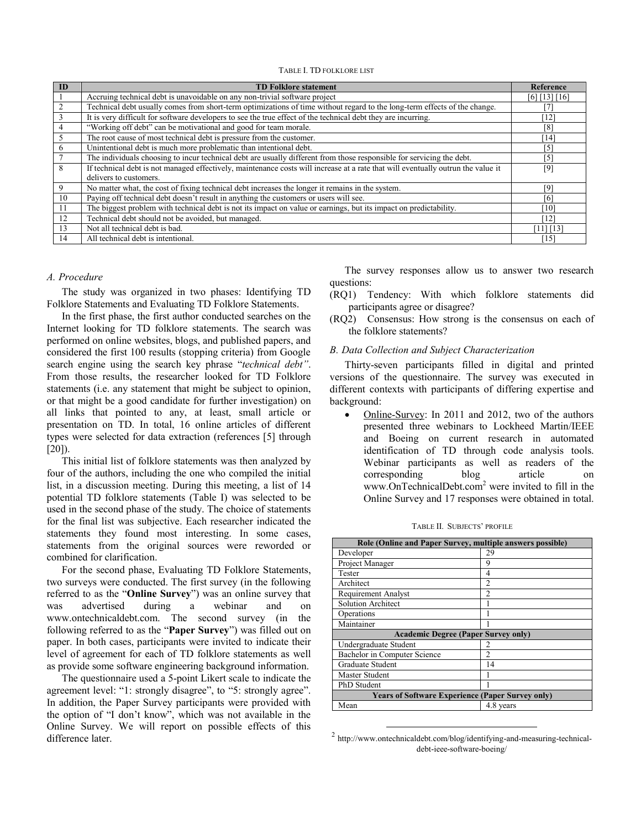TABLE I. TD FOLKLORE LIST

| ID | <b>TD Folklore statement</b>                                                                                                     | Reference     |
|----|----------------------------------------------------------------------------------------------------------------------------------|---------------|
|    | Accruing technical debt is unavoidable on any non-trivial software project                                                       | [6] [13] [16] |
|    | Technical debt usually comes from short-term optimizations of time without regard to the long-term effects of the change.        |               |
|    | It is very difficult for software developers to see the true effect of the technical debt they are incurring.                    | 12            |
| 4  | "Working off debt" can be motivational and good for team morale.                                                                 | [8]           |
| 5  | The root cause of most technical debt is pressure from the customer.                                                             | 141'          |
| 6  | Unintentional debt is much more problematic than intentional debt.                                                               | '51           |
|    | The individuals choosing to incur technical debt are usually different from those responsible for servicing the debt.            | [5]           |
| 8  | If technical debt is not managed effectively, maintenance costs will increase at a rate that will eventually outrun the value it | [9]           |
|    | delivers to customers.                                                                                                           |               |
| 9  | No matter what, the cost of fixing technical debt increases the longer it remains in the system.                                 | [9]           |
| 10 | Paying off technical debt doesn't result in anything the customers or users will see.                                            | [6]           |
| 11 | The biggest problem with technical debt is not its impact on value or earnings, but its impact on predictability.                | [10]          |
| 12 | Technical debt should not be avoided, but managed.                                                                               | [12]          |
| 13 | Not all technical debt is bad.                                                                                                   | [11] [13]     |
| 14 | All technical debt is intentional.                                                                                               | 15            |

## *A. Procedure*

The study was organized in two phases: Identifying TD Folklore Statements and Evaluating TD Folklore Statements.

In the first phase, the first author conducted searches on the Internet looking for TD folklore statements. The search was performed on online websites, blogs, and published papers, and considered the first 100 results (stopping criteria) from Google search engine using the search key phrase "*technical debt"*. From those results, the researcher looked for TD Folklore statements (i.e. any statement that might be subject to opinion, or that might be a good candidate for further investigation) on all links that pointed to any, at least, small article or presentation on TD. In total, 16 online articles of different types were selected for data extraction (references [5] through [20]).

This initial list of folklore statements was then analyzed by four of the authors, including the one who compiled the initial list, in a discussion meeting. During this meeting, a list of 14 potential TD folklore statements (Table I) was selected to be used in the second phase of the study. The choice of statements for the final list was subjective. Each researcher indicated the statements they found most interesting. In some cases, statements from the original sources were reworded or combined for clarification.

For the second phase, Evaluating TD Folklore Statements, two surveys were conducted. The first survey (in the following referred to as the "**Online Survey**") was an online survey that was advertised during a webinar and on www.ontechnicaldebt.com. The second survey (in the following referred to as the "**Paper Survey**") was filled out on paper. In both cases, participants were invited to indicate their level of agreement for each of TD folklore statements as well as provide some software engineering background information.

The questionnaire used a 5-point Likert scale to indicate the agreement level: "1: strongly disagree", to "5: strongly agree". In addition, the Paper Survey participants were provided with the option of "I don't know", which was not available in the Online Survey. We will report on possible effects of this difference later.

The survey responses allow us to answer two research questions:

- (RQ1) Tendency: With which folklore statements did participants agree or disagree?
- (RQ2) Consensus: How strong is the consensus on each of the folklore statements?

## *B. Data Collection and Subject Characterization*

Thirty-seven participants filled in digital and printed versions of the questionnaire. The survey was executed in different contexts with participants of differing expertise and background:

 Online-Survey: In 2011 and 2012, two of the authors presented three webinars to Lockheed Martin/IEEE and Boeing on current research in automated identification of TD through code analysis tools. Webinar participants as well as readers of the corresponding blog article on www.OnTechnicalDebt.com<sup>2</sup> were invited to fill in the Online Survey and 17 responses were obtained in total.

|  | TABLE II. SUBJECTS' PROFILE |  |
|--|-----------------------------|--|
|--|-----------------------------|--|

| Role (Online and Paper Survey, multiple answers possible) |                |  |  |  |  |
|-----------------------------------------------------------|----------------|--|--|--|--|
| Developer                                                 | 29             |  |  |  |  |
| Project Manager                                           | 9              |  |  |  |  |
| Tester                                                    | 4              |  |  |  |  |
| Architect                                                 | $\overline{c}$ |  |  |  |  |
| <b>Requirement Analyst</b>                                | 2              |  |  |  |  |
| <b>Solution Architect</b>                                 |                |  |  |  |  |
| Operations                                                |                |  |  |  |  |
| Maintainer                                                |                |  |  |  |  |
| <b>Academic Degree (Paper Survey only)</b>                |                |  |  |  |  |
| Undergraduate Student                                     | 2              |  |  |  |  |
| Bachelor in Computer Science                              | $\mathfrak{D}$ |  |  |  |  |
| Graduate Student                                          | 14             |  |  |  |  |
| Master Student                                            |                |  |  |  |  |
| PhD Student                                               |                |  |  |  |  |
| <b>Years of Software Experience (Paper Survey only)</b>   |                |  |  |  |  |
| Mean                                                      | 4.8 years      |  |  |  |  |

<sup>2</sup> http://www.ontechnicaldebt.com/blog/identifying-and-measuring-technicaldebt-ieee-software-boeing/

l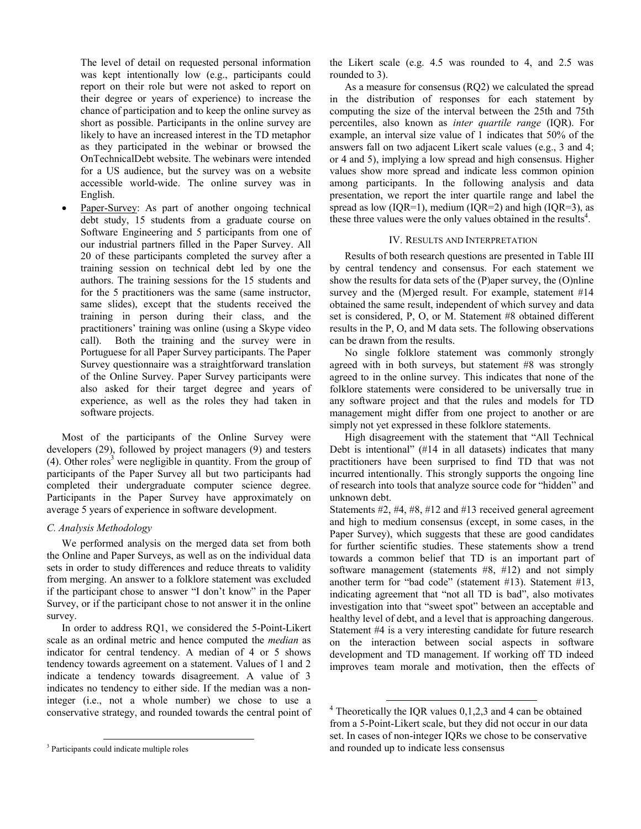The level of detail on requested personal information was kept intentionally low (e.g., participants could report on their role but were not asked to report on their degree or years of experience) to increase the chance of participation and to keep the online survey as short as possible. Participants in the online survey are likely to have an increased interest in the TD metaphor as they participated in the webinar or browsed the OnTechnicalDebt website. The webinars were intended for a US audience, but the survey was on a website accessible world-wide. The online survey was in English.

Paper-Survey: As part of another ongoing technical debt study, 15 students from a graduate course on Software Engineering and 5 participants from one of our industrial partners filled in the Paper Survey. All 20 of these participants completed the survey after a training session on technical debt led by one the authors. The training sessions for the 15 students and for the 5 practitioners was the same (same instructor, same slides), except that the students received the training in person during their class, and the practitioners' training was online (using a Skype video call). Both the training and the survey were in Portuguese for all Paper Survey participants. The Paper Survey questionnaire was a straightforward translation of the Online Survey. Paper Survey participants were also asked for their target degree and years of experience, as well as the roles they had taken in software projects.

Most of the participants of the Online Survey were developers (29), followed by project managers (9) and testers (4). Other roles<sup>3</sup> were negligible in quantity. From the group of participants of the Paper Survey all but two participants had completed their undergraduate computer science degree. Participants in the Paper Survey have approximately on average 5 years of experience in software development.

# *C. Analysis Methodology*

We performed analysis on the merged data set from both the Online and Paper Surveys, as well as on the individual data sets in order to study differences and reduce threats to validity from merging. An answer to a folklore statement was excluded if the participant chose to answer "I don't know" in the Paper Survey, or if the participant chose to not answer it in the online survey.

In order to address RQ1, we considered the 5-Point-Likert scale as an ordinal metric and hence computed the *median* as indicator for central tendency. A median of 4 or 5 shows tendency towards agreement on a statement. Values of 1 and 2 indicate a tendency towards disagreement. A value of 3 indicates no tendency to either side. If the median was a noninteger (i.e., not a whole number) we chose to use a conservative strategy, and rounded towards the central point of

l

the Likert scale (e.g. 4.5 was rounded to 4, and 2.5 was rounded to 3).

As a measure for consensus (RQ2) we calculated the spread in the distribution of responses for each statement by computing the size of the interval between the 25th and 75th percentiles, also known as *inter quartile range* (IQR). For example, an interval size value of 1 indicates that 50% of the answers fall on two adjacent Likert scale values (e.g., 3 and 4; or 4 and 5), implying a low spread and high consensus. Higher values show more spread and indicate less common opinion among participants. In the following analysis and data presentation, we report the inter quartile range and label the spread as low  $(IQR=1)$ , medium  $(IQR=2)$  and high  $(IQR=3)$ , as these three values were the only values obtained in the results<sup>4</sup>.

## IV. RESULTS AND INTERPRETATION

Results of both research questions are presented in Table III by central tendency and consensus. For each statement we show the results for data sets of the (P)aper survey, the (O)nline survey and the (M)erged result. For example, statement #14 obtained the same result, independent of which survey and data set is considered, P, O, or M. Statement #8 obtained different results in the P, O, and M data sets. The following observations can be drawn from the results.

No single folklore statement was commonly strongly agreed with in both surveys, but statement #8 was strongly agreed to in the online survey. This indicates that none of the folklore statements were considered to be universally true in any software project and that the rules and models for TD management might differ from one project to another or are simply not yet expressed in these folklore statements.

High disagreement with the statement that "All Technical Debt is intentional" (#14 in all datasets) indicates that many practitioners have been surprised to find TD that was not incurred intentionally. This strongly supports the ongoing line of research into tools that analyze source code for "hidden" and unknown debt.

Statements #2, #4, #8, #12 and #13 received general agreement and high to medium consensus (except, in some cases, in the Paper Survey), which suggests that these are good candidates for further scientific studies. These statements show a trend towards a common belief that TD is an important part of software management (statements #8, #12) and not simply another term for "bad code" (statement #13). Statement #13, indicating agreement that "not all TD is bad", also motivates investigation into that "sweet spot" between an acceptable and healthy level of debt, and a level that is approaching dangerous. Statement #4 is a very interesting candidate for future research on the interaction between social aspects in software development and TD management. If working off TD indeed improves team morale and motivation, then the effects of

l

<sup>&</sup>lt;sup>3</sup> Participants could indicate multiple roles

<sup>4</sup> Theoretically the IQR values 0,1,2,3 and 4 can be obtained from a 5-Point-Likert scale, but they did not occur in our data set. In cases of non-integer IQRs we chose to be conservative and rounded up to indicate less consensus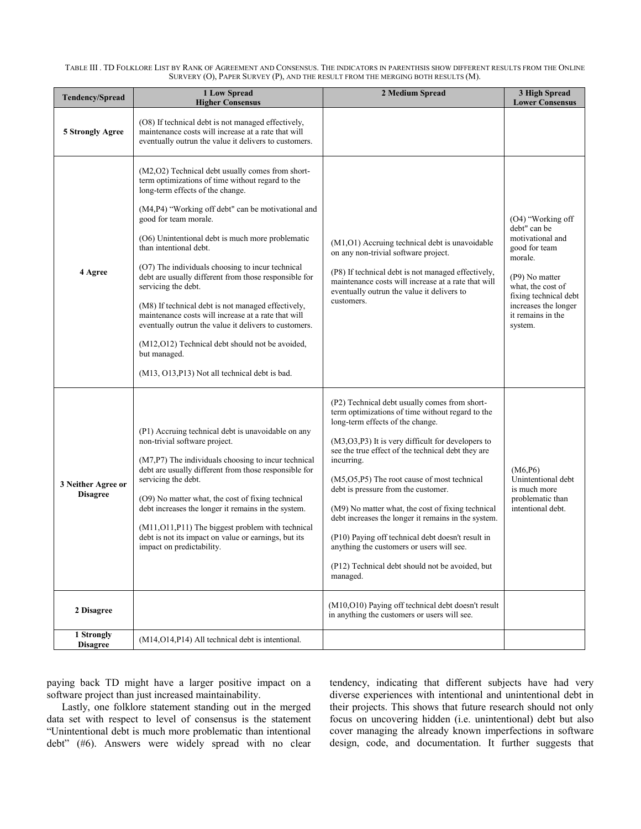TABLE III . TD FOLKLORE LIST BY RANK OF AGREEMENT AND CONSENSUS. THE INDICATORS IN PARENTHSIS SHOW DIFFERENT RESULTS FROM THE ONLINE SURVERY (O), PAPER SURVEY (P), AND THE RESULT FROM THE MERGING BOTH RESULTS (M).

| Tendency/Spread                       | <b>1 Low Spread</b><br><b>Higher Consensus</b>                                                                                                                                                                                                                                                                                                                                                                                                                                                                                                                                                                                                                                                                                        | 2 Medium Spread                                                                                                                                                                                                                                                                                                                                                                                                                                                                                                                                                                                                                         | 3 High Spread<br><b>Lower Consensus</b>                                                                                                                                                                   |
|---------------------------------------|---------------------------------------------------------------------------------------------------------------------------------------------------------------------------------------------------------------------------------------------------------------------------------------------------------------------------------------------------------------------------------------------------------------------------------------------------------------------------------------------------------------------------------------------------------------------------------------------------------------------------------------------------------------------------------------------------------------------------------------|-----------------------------------------------------------------------------------------------------------------------------------------------------------------------------------------------------------------------------------------------------------------------------------------------------------------------------------------------------------------------------------------------------------------------------------------------------------------------------------------------------------------------------------------------------------------------------------------------------------------------------------------|-----------------------------------------------------------------------------------------------------------------------------------------------------------------------------------------------------------|
| 5 Strongly Agree                      | (O8) If technical debt is not managed effectively,<br>maintenance costs will increase at a rate that will<br>eventually outrun the value it delivers to customers.                                                                                                                                                                                                                                                                                                                                                                                                                                                                                                                                                                    |                                                                                                                                                                                                                                                                                                                                                                                                                                                                                                                                                                                                                                         |                                                                                                                                                                                                           |
| 4 Agree                               | (M2,O2) Technical debt usually comes from short-<br>term optimizations of time without regard to the<br>long-term effects of the change.<br>(M4,P4) "Working off debt" can be motivational and<br>good for team morale.<br>(O6) Unintentional debt is much more problematic<br>than intentional debt.<br>(O7) The individuals choosing to incur technical<br>debt are usually different from those responsible for<br>servicing the debt.<br>(M8) If technical debt is not managed effectively,<br>maintenance costs will increase at a rate that will<br>eventually outrun the value it delivers to customers.<br>(M12, O12) Technical debt should not be avoided,<br>but managed.<br>(M13, O13, P13) Not all technical debt is bad. | (M1, O1) Accruing technical debt is unavoidable<br>on any non-trivial software project.<br>(P8) If technical debt is not managed effectively,<br>maintenance costs will increase at a rate that will<br>eventually outrun the value it delivers to<br>customers.                                                                                                                                                                                                                                                                                                                                                                        | (O4) "Working off<br>debt" can be<br>motivational and<br>good for team<br>morale.<br>(P9) No matter<br>what, the cost of<br>fixing technical debt<br>increases the longer<br>it remains in the<br>system. |
| 3 Neither Agree or<br><b>Disagree</b> | (P1) Accruing technical debt is unavoidable on any<br>non-trivial software project.<br>(M7,P7) The individuals choosing to incur technical<br>debt are usually different from those responsible for<br>servicing the debt.<br>(O9) No matter what, the cost of fixing technical<br>debt increases the longer it remains in the system.<br>(M11, O11, P11) The biggest problem with technical<br>debt is not its impact on value or earnings, but its<br>impact on predictability.                                                                                                                                                                                                                                                     | (P2) Technical debt usually comes from short-<br>term optimizations of time without regard to the<br>long-term effects of the change.<br>$(M3, O3, P3)$ It is very difficult for developers to<br>see the true effect of the technical debt they are<br>incurring.<br>(M5, O5, P5) The root cause of most technical<br>debt is pressure from the customer.<br>(M9) No matter what, the cost of fixing technical<br>debt increases the longer it remains in the system.<br>(P10) Paying off technical debt doesn't result in<br>anything the customers or users will see.<br>(P12) Technical debt should not be avoided, but<br>managed. | (M6, P6)<br>Unintentional debt<br>is much more<br>problematic than<br>intentional debt.                                                                                                                   |
| 2 Disagree                            |                                                                                                                                                                                                                                                                                                                                                                                                                                                                                                                                                                                                                                                                                                                                       | (M10, O10) Paying off technical debt doesn't result<br>in anything the customers or users will see.                                                                                                                                                                                                                                                                                                                                                                                                                                                                                                                                     |                                                                                                                                                                                                           |
| 1 Strongly<br><b>Disagree</b>         | (M14, O14, P14) All technical debt is intentional.                                                                                                                                                                                                                                                                                                                                                                                                                                                                                                                                                                                                                                                                                    |                                                                                                                                                                                                                                                                                                                                                                                                                                                                                                                                                                                                                                         |                                                                                                                                                                                                           |

paying back TD might have a larger positive impact on a software project than just increased maintainability.

Lastly, one folklore statement standing out in the merged data set with respect to level of consensus is the statement "Unintentional debt is much more problematic than intentional debt" (#6). Answers were widely spread with no clear tendency, indicating that different subjects have had very diverse experiences with intentional and unintentional debt in their projects. This shows that future research should not only focus on uncovering hidden (i.e. unintentional) debt but also cover managing the already known imperfections in software design, code, and documentation. It further suggests that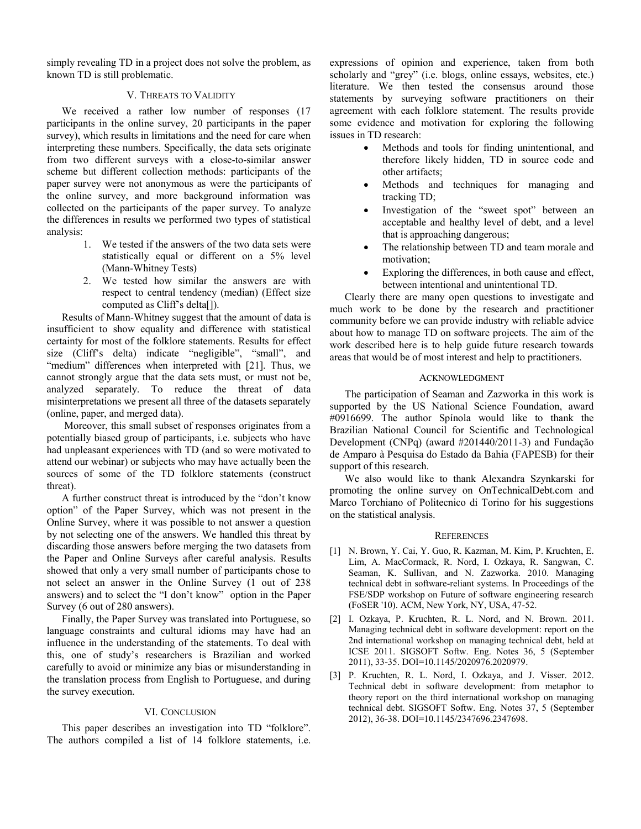simply revealing TD in a project does not solve the problem, as known TD is still problematic.

## V. THREATS TO VALIDITY

We received a rather low number of responses (17 participants in the online survey, 20 participants in the paper survey), which results in limitations and the need for care when interpreting these numbers. Specifically, the data sets originate from two different surveys with a close-to-similar answer scheme but different collection methods: participants of the paper survey were not anonymous as were the participants of the online survey, and more background information was collected on the participants of the paper survey. To analyze the differences in results we performed two types of statistical analysis:

- 1. We tested if the answers of the two data sets were statistically equal or different on a 5% level (Mann-Whitney Tests)
- 2. We tested how similar the answers are with respect to central tendency (median) (Effect size computed as Cliff's delta[]).

Results of Mann-Whitney suggest that the amount of data is insufficient to show equality and difference with statistical certainty for most of the folklore statements. Results for effect size (Cliff's delta) indicate "negligible", "small", and "medium" differences when interpreted with [21]. Thus, we cannot strongly argue that the data sets must, or must not be, analyzed separately. To reduce the threat of data misinterpretations we present all three of the datasets separately (online, paper, and merged data).

Moreover, this small subset of responses originates from a potentially biased group of participants, i.e. subjects who have had unpleasant experiences with TD (and so were motivated to attend our webinar) or subjects who may have actually been the sources of some of the TD folklore statements (construct threat).

A further construct threat is introduced by the "don't know option" of the Paper Survey, which was not present in the Online Survey, where it was possible to not answer a question by not selecting one of the answers. We handled this threat by discarding those answers before merging the two datasets from the Paper and Online Surveys after careful analysis. Results showed that only a very small number of participants chose to not select an answer in the Online Survey (1 out of 238 answers) and to select the "I don't know" option in the Paper Survey (6 out of 280 answers).

Finally, the Paper Survey was translated into Portuguese, so language constraints and cultural idioms may have had an influence in the understanding of the statements. To deal with this, one of study's researchers is Brazilian and worked carefully to avoid or minimize any bias or misunderstanding in the translation process from English to Portuguese, and during the survey execution.

## VI. CONCLUSION

This paper describes an investigation into TD "folklore". The authors compiled a list of 14 folklore statements, i.e. expressions of opinion and experience, taken from both scholarly and "grey" (i.e. blogs, online essays, websites, etc.) literature. We then tested the consensus around those statements by surveying software practitioners on their agreement with each folklore statement. The results provide some evidence and motivation for exploring the following issues in TD research:

- Methods and tools for finding unintentional, and therefore likely hidden, TD in source code and other artifacts;
- Methods and techniques for managing and tracking TD;
- Investigation of the "sweet spot" between an acceptable and healthy level of debt, and a level that is approaching dangerous;
- The relationship between TD and team morale and motivation;
- Exploring the differences, in both cause and effect, between intentional and unintentional TD.

Clearly there are many open questions to investigate and much work to be done by the research and practitioner community before we can provide industry with reliable advice about how to manage TD on software projects. The aim of the work described here is to help guide future research towards areas that would be of most interest and help to practitioners.

## ACKNOWLEDGMENT

The participation of Seaman and Zazworka in this work is supported by the US National Science Foundation, award #0916699. The author Spínola would like to thank the Brazilian National Council for Scientific and Technological Development (CNPq) (award #201440/2011-3) and Fundação de Amparo à Pesquisa do Estado da Bahia (FAPESB) for their support of this research.

We also would like to thank Alexandra Szynkarski for promoting the online survey on OnTechnicalDebt.com and Marco Torchiano of Politecnico di Torino for his suggestions on the statistical analysis.

## **REFERENCES**

- [1] N. Brown, Y. Cai, Y. Guo, R. Kazman, M. Kim, P. Kruchten, E. Lim, A. MacCormack, R. Nord, I. Ozkaya, R. Sangwan, C. Seaman, K. Sullivan, and N. Zazworka. 2010. Managing technical debt in software-reliant systems. In Proceedings of the FSE/SDP workshop on Future of software engineering research (FoSER '10). ACM, New York, NY, USA, 47-52.
- [2] I. Ozkaya, P. Kruchten, R. L. Nord, and N. Brown. 2011. Managing technical debt in software development: report on the 2nd international workshop on managing technical debt, held at ICSE 2011. SIGSOFT Softw. Eng. Notes 36, 5 (September 2011), 33-35. DOI=10.1145/2020976.2020979.
- [3] P. Kruchten, R. L. Nord, I. Ozkaya, and J. Visser. 2012. Technical debt in software development: from metaphor to theory report on the third international workshop on managing technical debt. SIGSOFT Softw. Eng. Notes 37, 5 (September 2012), 36-38. DOI=10.1145/2347696.2347698.